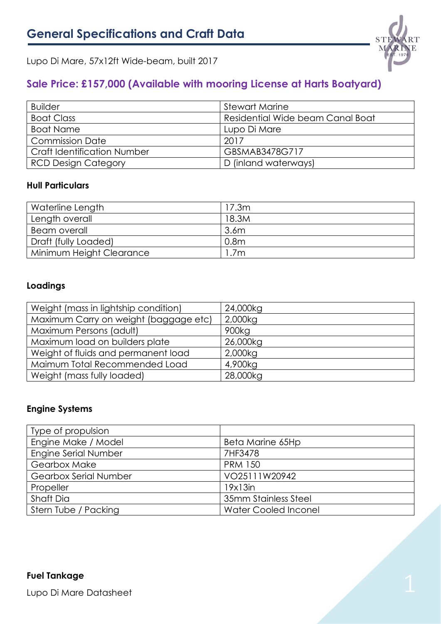

Lupo Di Mare, 57x12ft Wide-beam, built 2017

# **Sale Price: £157,000 (Available with mooring License at Harts Boatyard)**

| <b>Builder</b>                     | <b>Stewart Marine</b>            |
|------------------------------------|----------------------------------|
| <b>Boat Class</b>                  | Residential Wide beam Canal Boat |
| Boat Name                          | Lupo Di Mare                     |
| <b>Commission Date</b>             | 2017                             |
| <b>Craft Identification Number</b> | GBSMAB3478G717                   |
| <b>RCD Design Category</b>         | D (inland waterways)             |

# **Hull Particulars**

| Waterline Length         | 17.3m            |
|--------------------------|------------------|
| Length overall           | 18.3M            |
| Beam overall             | 3.6 <sub>m</sub> |
| Draft (fully Loaded)     | 0.8 <sub>m</sub> |
| Minimum Height Clearance | .7m              |

# **Loadings**

| Weight (mass in lightship condition)  | 24,000kg          |
|---------------------------------------|-------------------|
| Maximum Carry on weight (baggage etc) | 2,000kg           |
| Maximum Persons (adult)               | 900 <sub>kg</sub> |
| Maximum load on builders plate        | 26,000kg          |
| Weight of fluids and permanent load   | 2,000kg           |
| Maimum Total Recommended Load         | 4,900kg           |
| Weight (mass fully loaded)            | 28,000kg          |

# **Engine Systems**

| Type of propulsion           |                             |
|------------------------------|-----------------------------|
| Engine Make / Model          | Beta Marine 65Hp            |
| Engine Serial Number         | 7HF3478                     |
| <b>Gearbox Make</b>          | <b>PRM 150</b>              |
| <b>Gearbox Serial Number</b> | VO25111W20942               |
| Propeller                    | 19x13in                     |
| Shaft Dia                    | 35mm Stainless Steel        |
| Stern Tube / Packing         | <b>Water Cooled Inconel</b> |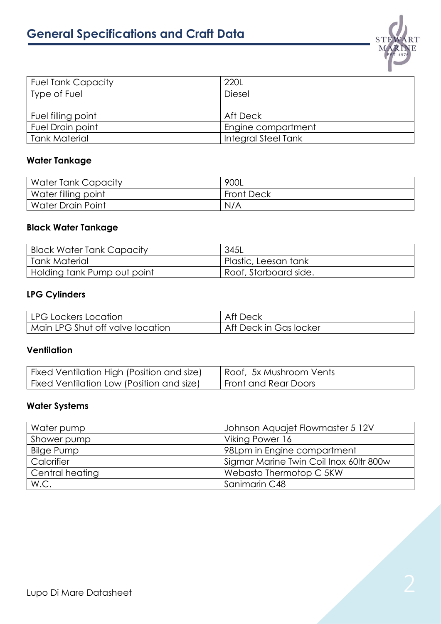

| <b>Fuel Tank Capacity</b> | 220L                |
|---------------------------|---------------------|
| Type of Fuel              | <b>Diesel</b>       |
|                           |                     |
| Fuel filling point        | Aft Deck            |
| Fuel Drain point          | Engine compartment  |
| <b>Tank Material</b>      | Integral Steel Tank |

# **Water Tankage**

| Water Tank Capacity | 900L              |
|---------------------|-------------------|
| Water filling point | <b>Front Deck</b> |
| Water Drain Point   | N/A               |

## **Black Water Tankage**

| Black Water Tank Capacity   | 345L                  |
|-----------------------------|-----------------------|
| Tank Material               | Plastic, Leesan tank  |
| Holding tank Pump out point | Roof, Starboard side. |

# **LPG Cylinders**

| LPG Lockers Location             | – Af† ⊡<br>Deck        |
|----------------------------------|------------------------|
| Main LPG Shut off valve location | Aft Deck in Gas locker |

#### **Ventilation**

| Fixed Ventilation High (Position and size) | Roof, 5x Mushroom Vents |
|--------------------------------------------|-------------------------|
| Fixed Ventilation Low (Position and size)  | Front and Rear Doors    |

## **Water Systems**

| Water pump      | Johnson Aquajet Flowmaster 5 12V        |
|-----------------|-----------------------------------------|
| Shower pump     | Viking Power 16                         |
| Bilge Pump      | 98Lpm in Engine compartment             |
| Calorifier      | Sigmar Marine Twin Coil Inox 60ltr 800w |
| Central heating | Webasto Thermotop C 5KW                 |
| W.C.            | Sanimarin C48                           |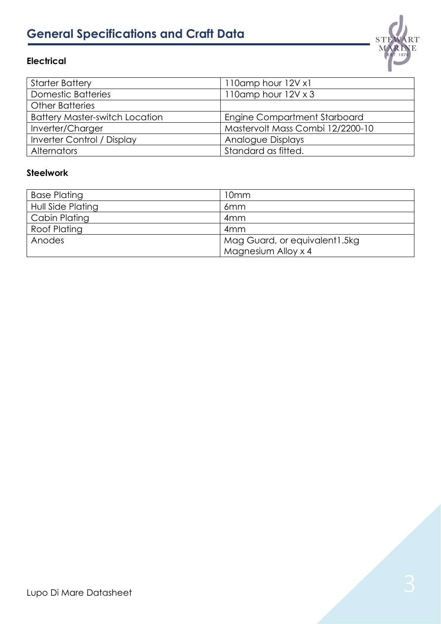# **General Specifications and Craft Data**





#### **Steelwork**

| <b>Base Plating</b>  | 10 <sub>mm</sub>               |
|----------------------|--------------------------------|
| Hull Side Plating    | 6 <sub>mm</sub>                |
| <b>Cabin Plating</b> | 4 <sub>mm</sub>                |
| <b>Roof Plating</b>  | 4 <sub>mm</sub>                |
| Anodes               | Mag Guard, or equivalent 1.5kg |
|                      | Magnesium Alloy x 4            |

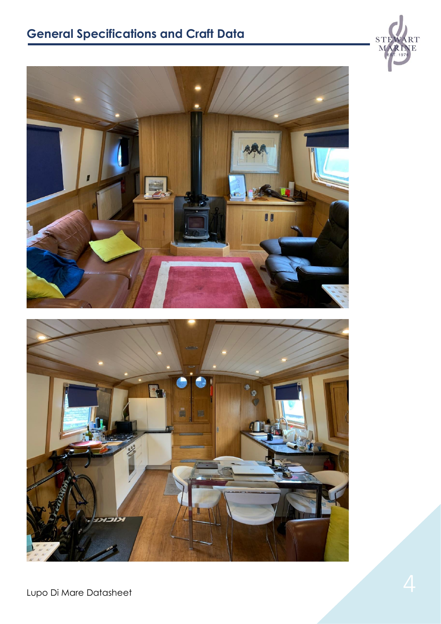# **General Specifications and Craft Data**